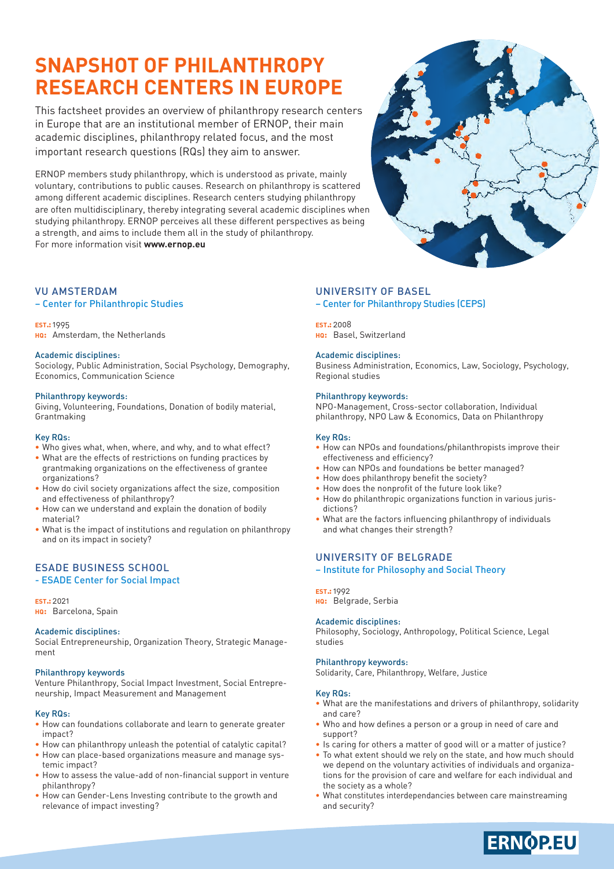# **SNAPSHOT OF PHILANTHROPY RESEARCH CENTERS IN EUROPE**

This factsheet provides an overview of philanthropy research centers in Europe that are an institutional member of ERNOP, their main academic disciplines, philanthropy related focus, and the most important research questions (RQs) they aim to answer.

ERNOP members study philanthropy, which is understood as private, mainly voluntary, contributions to public causes. Research on philanthropy is scattered among different academic disciplines. Research centers studying philanthropy are often multidisciplinary, thereby integrating several academic disciplines when studying philanthropy. ERNOP perceives all these different perspectives as being a strength, and aims to include them all in the study of philanthropy. For more information visit **www.ernop.eu**

### VU AMSTERDAM

#### – Center for Philanthropic Studies

#### **est.:** 1995

**hq:** Amsterdam, the Netherlands

#### Academic disciplines:

Sociology, Public Administration, Social Psychology, Demography, Economics, Communication Science

#### Philanthropy keywords:

Giving, Volunteering, Foundations, Donation of bodily material, Grantmaking

#### Key RQs:

- **•** Who gives what, when, where, and why, and to what effect?
- What are the effects of restrictions on funding practices by grantmaking organizations on the effectiveness of grantee organizations?
- **How do civil society organizations affect the size, composition** and effectiveness of philanthropy?
- **•** How can we understand and explain the donation of bodily material?
- **•** What is the impact of institutions and regulation on philanthropy and on its impact in society?

## ESADE BUSINESS SCHOOL

#### - ESADE Center for Social Impact

**est.:** 2021 **hq:** Barcelona, Spain

#### Academic disciplines:

Social Entrepreneurship, Organization Theory, Strategic Management

#### Philanthropy keywords

Venture Philanthropy, Social Impact Investment, Social Entrepreneurship, Impact Measurement and Management

#### Key RQs:

- **•** How can foundations collaborate and learn to generate greater impact?
- How can philanthropy unleash the potential of catalytic capital?
- How can place-based organizations measure and manage systemic impact?
- How to assess the value-add of non-financial support in venture philanthropy?
- How can Gender-Lens Investing contribute to the growth and relevance of impact investing?

### UNIVERSITY OF BASEL

– Center for Philanthropy Studies (CEPS)

### **hq:** Basel, Switzerland

**EST.:** 2008

#### Academic disciplines:

Business Administration, Economics, Law, Sociology, Psychology, Regional studies

#### Philanthropy keywords:

NPO-Management, Cross-sector collaboration, Individual philanthropy, NPO Law & Economics, Data on Philanthropy

#### Key RQs:

- How can NPOs and foundations/philanthropists improve their effectiveness and efficiency?
- **•** How can NPOs and foundations be better managed?
- **•** How does philanthropy benefit the society?
- **•** How does the nonprofit of the future look like?
- **•** How do philanthropic organizations function in various jurisdictions?
- **•** What are the factors influencing philanthropy of individuals and what changes their strength?

### UNIVERSITY OF BELGRADE

– Institute for Philosophy and Social Theory

#### **est.:** 1992

**hq:** Belgrade, Serbia

#### Academic disciplines:

Philosophy, Sociology, Anthropology, Political Science, Legal studies

#### Philanthropy keywords:

Solidarity, Care, Philanthropy, Welfare, Justice

#### Key RQs:

- **•** What are the manifestations and drivers of philanthropy, solidarity and care?
- **•** Who and how defines a person or a group in need of care and support?
- Is caring for others a matter of good will or a matter of justice?
- **•** To what extent should we rely on the state, and how much should we depend on the voluntary activities of individuals and organizations for the provision of care and welfare for each individual and the society as a whole?
- What constitutes interdependancies between care mainstreaming and security?

**ERNOP.EU** 

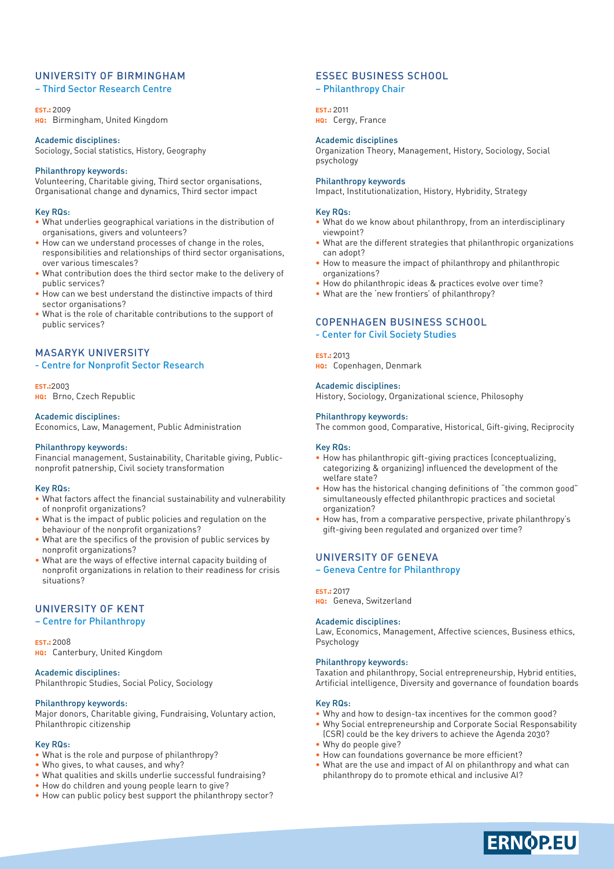### UNIVERSITY OF BIRMINGHAM

#### – Third Sector Research Centre

**est.:** 2009

**hq:** Birmingham, United Kingdom

#### Academic disciplines:

Sociology, Social statistics, History, Geography

#### Philanthropy keywords:

Volunteering, Charitable giving, Third sector organisations, Organisational change and dynamics, Third sector impact

#### Key RQs:

- **•** What underlies geographical variations in the distribution of organisations, givers and volunteers?
- **•** How can we understand processes of change in the roles, responsibilities and relationships of third sector organisations, over various timescales?
- **•** What contribution does the third sector make to the delivery of public services?
- **•** How can we best understand the distinctive impacts of third sector organisations?
- **•** What is the role of charitable contributions to the support of public services?

### MASARYK UNIVERSITY

#### - Centre for Nonprofit Sector Research

**est.:**2003 **hq:** Brno, Czech Republic

#### Academic disciplines:

Economics, Law, Management, Public Administration

#### Philanthropy keywords:

Financial management, Sustainability, Charitable giving, Publicnonprofit patnership, Civil society transformation

#### Key RQs:

- **•** What factors affect the financial sustainability and vulnerability of nonprofit organizations?
- **•** What is the impact of public policies and regulation on the behaviour of the nonprofit organizations?
- **•** What are the specifics of the provision of public services by nonprofit organizations?
- **•** What are the ways of effective internal capacity building of nonprofit organizations in relation to their readiness for crisis situations?

### UNIVERSITY OF KENT

#### – Centre for Philanthropy

**est.:** 2008 **hq:** Canterbury, United Kingdom

### Academic disciplines:

Philanthropic Studies, Social Policy, Sociology

#### Philanthropy keywords:

Major donors, Charitable giving, Fundraising, Voluntary action, Philanthropic citizenship

#### Key RQs:

- What is the role and purpose of philanthropy?
- **•** Who gives, to what causes, and why?
- **•** What qualities and skills underlie successful fundraising?
- How do children and young people learn to give?
- **•** How can public policy best support the philanthropy sector?

### ESSEC BUSINESS SCHOOL

#### – Philanthropy Chair

**est.:** 2011

**HQ:** Cergy, France

### Academic disciplines

Organization Theory, Management, History, Sociology, Social psychology

Impact, Institutionalization, History, Hybridity, Strategy

### Key RQs:

Philanthropy keywords

- **•** What do we know about philanthropy, from an interdisciplinary viewpoint?
- **•** What are the different strategies that philanthropic organizations can adopt?
- **•** How to measure the impact of philanthropy and philanthropic organizations?
- **•** How do philanthropic ideas & practices evolve over time?
- **•** What are the 'new frontiers' of philanthropy?

### COPENHAGEN BUSINESS SCHOOL

- Center for Civil Society Studies

#### **est.:** 2013

**hq:** Copenhagen, Denmark

#### Academic disciplines:

History, Sociology, Organizational science, Philosophy

#### Philanthropy keywords:

The common good, Comparative, Historical, Gift-giving, Reciprocity

#### Key RQs:

- **•** How has philanthropic gift-giving practices (conceptualizing, categorizing & organizing) influenced the development of the welfare state?
- How has the historical changing definitions of "the common good" simultaneously effected philanthropic practices and societal organization?
- How has, from a comparative perspective, private philanthropy's gift-giving been regulated and organized over time?

### UNIVERSITY OF GENEVA

– Geneva Centre for Philanthropy

#### **est.:** 2017

**hq:** Geneva, Switzerland

#### Academic disciplines:

Law, Economics, Management, Affective sciences, Business ethics, Psychology

#### Philanthropy keywords:

Taxation and philanthropy, Social entrepreneurship, Hybrid entities, Artificial intelligence, Diversity and governance of foundation boards

#### Key RQs:

- **•** Why and how to design-tax incentives for the common good?
- **•** Why Social entrepreneurship and Corporate Social Responsability (CSR) could be the key drivers to achieve the Agenda 2030?
- **•** Why do people give?
- How can foundations governance be more efficient?
- **•** What are the use and impact of AI on philanthropy and what can philanthropy do to promote ethical and inclusive AI?

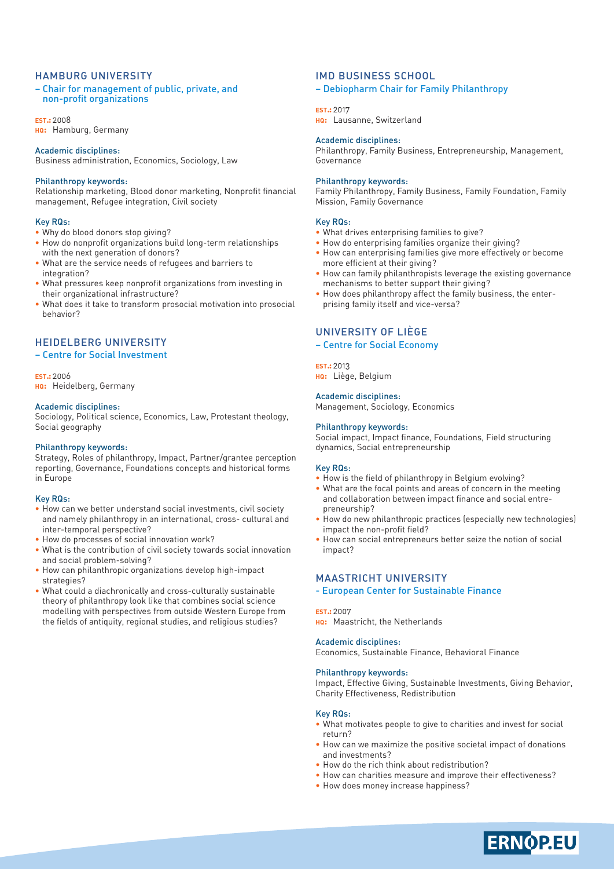#### HAMBURG UNIVERSITY

#### – Chair for management of public, private, and non-profit organizations

**est.:** 2008 **hq:** Hamburg, Germany

#### Academic disciplines:

Business administration, Economics, Sociology, Law

#### Philanthropy keywords:

Relationship marketing, Blood donor marketing, Nonprofit financial management, Refugee integration, Civil society

#### Key RQs:

- Why do blood donors stop giving?
- **•** How do nonprofit organizations build long-term relationships with the next generation of donors?
- **•** What are the service needs of refugees and barriers to integration?
- **•** What pressures keep nonprofit organizations from investing in their organizational infrastructure?
- **•** What does it take to transform prosocial motivation into prosocial behavior?

### HEIDELBERG UNIVERSITY

### – Centre for Social Investment

**est.:** 2006 **hq:** Heidelberg, Germany

#### Academic disciplines:

Sociology, Political science, Economics, Law, Protestant theology, Social geography

#### Philanthropy keywords:

Strategy, Roles of philanthropy, Impact, Partner/grantee perception reporting, Governance, Foundations concepts and historical forms in Europe

#### Key RQs:

- **•** How can we better understand social investments, civil society and namely philanthropy in an international, cross- cultural and inter-temporal perspective?
- **•** How do processes of social innovation work?
- What is the contribution of civil society towards social innovation and social problem-solving?
- **•** How can philanthropic organizations develop high-impact strategies?
- **•** What could a diachronically and cross-culturally sustainable theory of philanthropy look like that combines social science modelling with perspectives from outside Western Europe from the fields of antiquity, regional studies, and religious studies?

### IMD BUSINESS SCHOOL

#### – Debiopharm Chair for Family Philanthropy

#### **est.:** 2017

**hq:** Lausanne, Switzerland

#### Academic disciplines:

Philanthropy, Family Business, Entrepreneurship, Management, Governance

#### Philanthropy keywords:

Family Philanthropy, Family Business, Family Foundation, Family Mission, Family Governance

#### Key RQs:

- What drives enterprising families to give?
- **•** How do enterprising families organize their giving?
- **How can enterprising families give more effectively or become** more efficient at their giving?
- **How can family philanthropists leverage the existing governance** mechanisms to better support their giving?
- **•** How does philanthropy affect the family business, the enterprising family itself and vice-versa?

### UNIVERSITY OF LIÈGE

### – Centre for Social Economy

#### **est.:** 2013

**hq:** Liège, Belgium

### Academic disciplines:

Management, Sociology, Economics

#### Philanthropy keywords:

Social impact, Impact finance, Foundations, Field structuring dynamics, Social entrepreneurship

#### Key RQs:

- How is the field of philanthropy in Belgium evolving?
- What are the focal points and areas of concern in the meeting and collaboration between impact finance and social entrepreneurship?
- **•** How do new philanthropic practices (especially new technologies) impact the non-profit field?
- **•** How can social entrepreneurs better seize the notion of social impact?

#### MAASTRICHT UNIVERSITY

- European Center for Sustainable Finance

#### **est.:** 2007

**hq:** Maastricht, the Netherlands

#### Academic disciplines:

Economics, Sustainable Finance, Behavioral Finance

#### Philanthropy keywords:

Impact, Effective Giving, Sustainable Investments, Giving Behavior, Charity Effectiveness, Redistribution

#### Key RQs:

- What motivates people to give to charities and invest for social return?
- How can we maximize the positive societal impact of donations and investments?
- **•** How do the rich think about redistribution?
- **•** How can charities measure and improve their effectiveness?
- **•** How does money increase happiness?